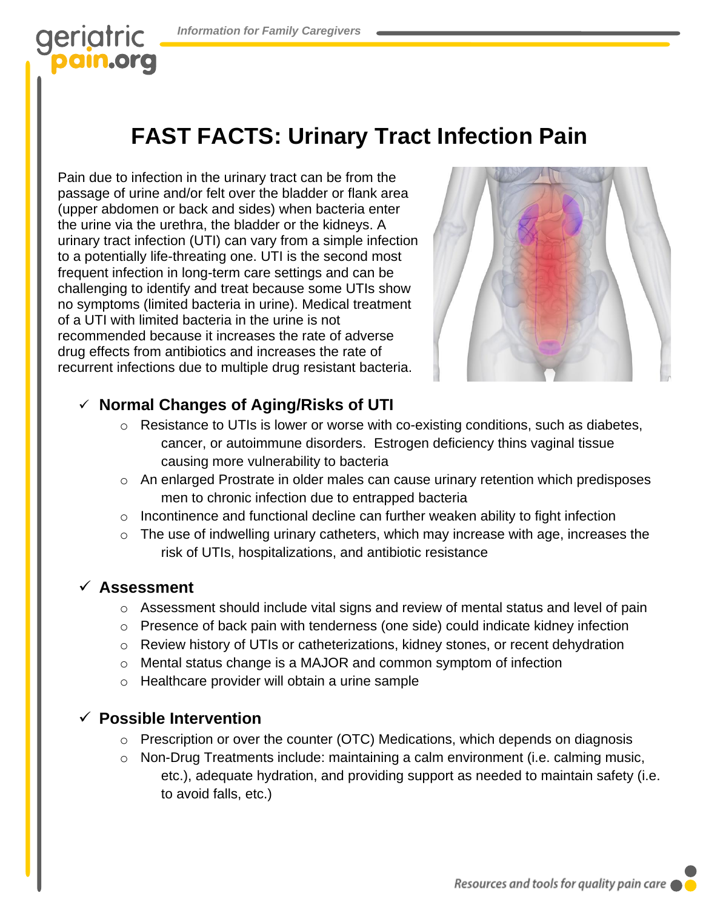## geriatric pain.org

# **FAST FACTS: Urinary Tract Infection Pain**

Pain due to infection in the urinary tract can be from the passage of urine and/or felt over the bladder or flank area (upper abdomen or back and sides) when bacteria enter the urine via the urethra, the bladder or the kidneys. A urinary tract infection (UTI) can vary from a simple infection to a potentially life-threating one. UTI is the second most frequent infection in long-term care settings and can be challenging to identify and treat because some UTIs show no symptoms (limited bacteria in urine). Medical treatment of a UTI with limited bacteria in the urine is not recommended because it increases the rate of adverse drug effects from antibiotics and increases the rate of recurrent infections due to multiple drug resistant bacteria.



## ✓ **Normal Changes of Aging/Risks of UTI**

- o Resistance to UTIs is lower or worse with co-existing conditions, such as diabetes, cancer, or autoimmune disorders. Estrogen deficiency thins vaginal tissue causing more vulnerability to bacteria
- o An enlarged Prostrate in older males can cause urinary retention which predisposes men to chronic infection due to entrapped bacteria
- $\circ$  Incontinence and functional decline can further weaken ability to fight infection
- o The use of indwelling urinary catheters, which may increase with age, increases the risk of UTIs, hospitalizations, and antibiotic resistance

#### ✓ **Assessment**

- $\circ$  Assessment should include vital signs and review of mental status and level of pain
- o Presence of back pain with tenderness (one side) could indicate kidney infection
- o Review history of UTIs or catheterizations, kidney stones, or recent dehydration
- o Mental status change is a MAJOR and common symptom of infection
- o Healthcare provider will obtain a urine sample

### ✓ **Possible Intervention**

- o Prescription or over the counter (OTC) Medications, which depends on diagnosis
- o Non-Drug Treatments include: maintaining a calm environment (i.e. calming music, etc.), adequate hydration, and providing support as needed to maintain safety (i.e. to avoid falls, etc.)